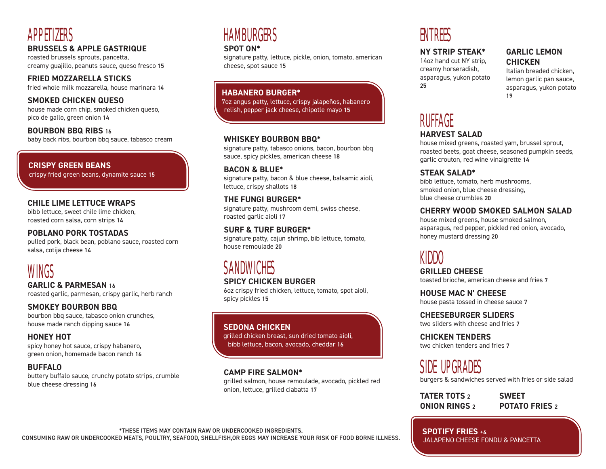# APPETIZERS

## **BRUSSELS & APPLE GASTRIQUE**

roasted brussels sprouts, pancetta, creamy guajillo, peanuts sauce, queso fresco 15

**FRIED MOZZARELLA STICKS** fried whole milk mozzarella, house marinara 14

# **SMOKED CHICKEN QUESO**

house made corn chip, smoked chicken queso, pico de gallo, green onion 14

**BOURBON BBQ RIBS** 16 baby back ribs, bourbon bbq sauce, tabasco cream

# **CRISPY GREEN BEANS**

crispy fried green beans, dynamite sauce 15

### **CHILE LIME LETTUCE WRAPS**

bibb lettuce, sweet chile lime chicken, roasted corn salsa, corn strips 14

#### **POBLANO PORK TOSTADAS**

pulled pork, black bean, poblano sauce, roasted corn salsa, cotija cheese 14

# WINGS

**GARLIC & PARMESAN** 16 roasted garlic, parmesan, crispy garlic, herb ranch

## **SMOKEY BOURBON BBQ**

bourbon bbq sauce, tabasco onion crunches, house made ranch dipping sauce 16

## **HONEY HOT**

spicy honey hot sauce, crispy habanero, green onion, homemade bacon ranch 16

### **BUFFALO**

buttery buffalo sauce, crunchy potato strips, crumble blue cheese dressing 16

# **HAMBURGERS**

#### **SPOT ON\***

signature patty, lettuce, pickle, onion, tomato, american cheese, spot sauce 15

### **HABANERO BURGER\***

7oz angus patty, lettuce, crispy jalapeños, habanero relish, pepper jack cheese, chipotle mayo 15

### **WHISKEY BOURBON BBQ\***

signature patty, tabasco onions, bacon, bourbon bbq sauce, spicy pickles, american cheese 18

#### **BACON & BLUE\***

signature patty, bacon & blue cheese, balsamic aioli, lettuce, crispy shallots 18

### **THE FUNGI BURGER\***

signature patty, mushroom demi, swiss cheese, roasted garlic aioli 17

### **SURF & TURF BURGER\***

signature patty, cajun shrimp, bib lettuce, tomato, house remoulade 20

# SANDWICHES

### **SPICY CHICKEN BURGER**

6oz crispy fried chicken, lettuce, tomato, spot aioli, spicy pickles 15

### **SEDONA CHICKEN**

grilled chicken breast, sun dried tomato aioli, bibb lettuce, bacon, avocado, cheddar 16

### **CAMP FIRE SALMON\***

grilled salmon, house remoulade, avocado, pickled red onion, lettuce, grilled ciabatta 17

# ENTREES

### **NY STRIP STEAK\***

14oz hand cut NY strip, creamy horseradish, asparagus, yukon potato 25

# **GARLIC LEMON CHICKEN**

Italian breaded chicken, lemon garlic pan sauce, asparagus, yukon potato 19

# **RUFFAGE**

### **HARVEST SALAD**

house mixed greens, roasted yam, brussel sprout, roasted beets, goat cheese, seasoned pumpkin seeds, garlic crouton, red wine vinaigrette 14

## **STEAK SALAD\***

bibb lettuce, tomato, herb mushrooms, smoked onion, blue cheese dressing, blue cheese crumbles 20

### **CHERRY WOOD SMOKED SALMON SALAD**

house mixed greens, house smoked salmon, asparagus, red pepper, pickled red onion, avocado, honey mustard dressing 20

# KIDDO

**GRILLED CHEESE** toasted brioche, american cheese and fries 7

**HOUSE MAC N' CHEESE** house pasta tossed in cheese sauce 7

**CHEESEBURGER SLIDERS** two sliders with cheese and fries 7

**CHICKEN TENDERS** two chicken tenders and fries 7

SIDE UPGRADES

burgers & sandwiches served with fries or side salad

**TATER TOTS** 2 **ONION RINGS** 2 **SWEET POTATO FRIES** 2

**SPOTIFY FRIES** +4 JALAPENO CHEESE FONDU & PANCETTA